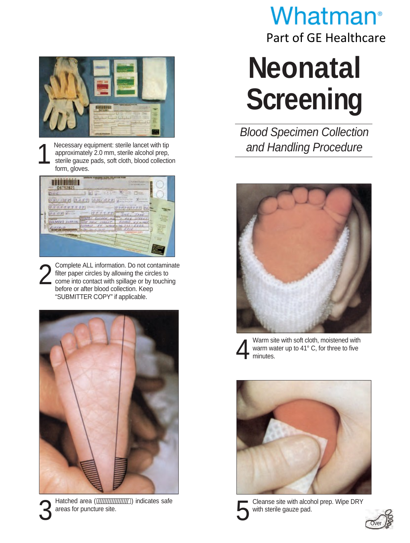

1 Necessary equipment: sterile lancet with tip approximately 2.0 mm, sterile alcohol prep, sterile gauze pads, soft cloth, blood collection form, gloves.



2 Complete ALL information. Do not contaminate filter paper circles by allowing the circles to come into contact with spillage or by touching before or after blood collection. Keep "SUBMITTER COPY" if applicable.



3 Fracched area (*WINNINGHING)* Indicates sale Hatched area (*[///////////////////*//]) indicates safe areas for puncture site.

**Whatman**<sup>®</sup> Part of GE Healthcare

## **Neonatal Screening**

*Blood Specimen Collection and Handling Procedure*





Warm site with soft cloth, moistened with warm water up to 41° C, for three to five minutes.





Cleanse site with alcohol prep. Wipe DRY with sterile gauze pad.